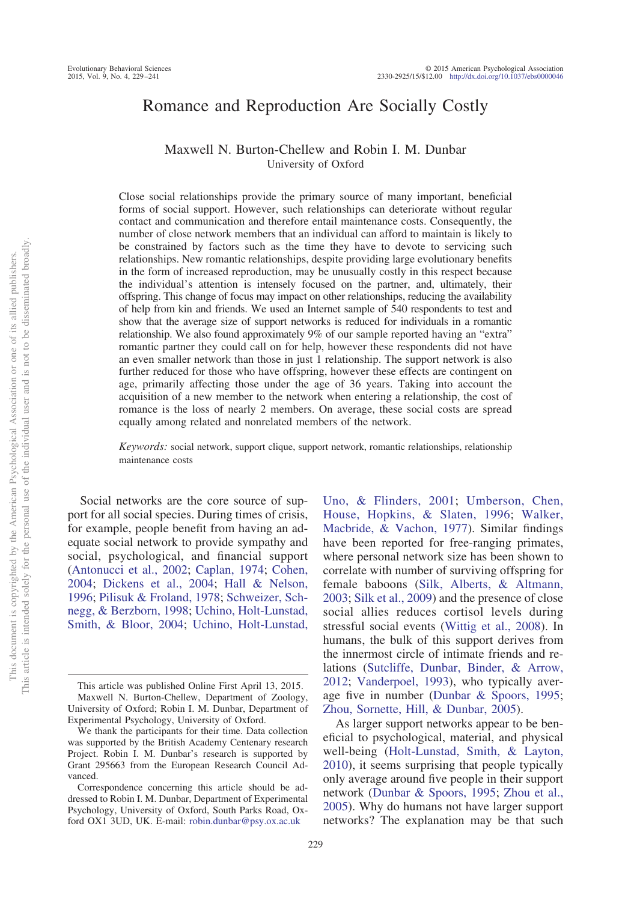# Romance and Reproduction Are Socially Costly

## Maxwell N. Burton-Chellew and Robin I. M. Dunbar University of Oxford

Close social relationships provide the primary source of many important, beneficial forms of social support. However, such relationships can deteriorate without regular contact and communication and therefore entail maintenance costs. Consequently, the number of close network members that an individual can afford to maintain is likely to be constrained by factors such as the time they have to devote to servicing such relationships. New romantic relationships, despite providing large evolutionary benefits in the form of increased reproduction, may be unusually costly in this respect because the individual's attention is intensely focused on the partner, and, ultimately, their offspring. This change of focus may impact on other relationships, reducing the availability of help from kin and friends. We used an Internet sample of 540 respondents to test and show that the average size of support networks is reduced for individuals in a romantic relationship. We also found approximately 9% of our sample reported having an "extra" romantic partner they could call on for help, however these respondents did not have an even smaller network than those in just 1 relationship. The support network is also further reduced for those who have offspring, however these effects are contingent on age, primarily affecting those under the age of 36 years. Taking into account the acquisition of a new member to the network when entering a relationship, the cost of romance is the loss of nearly 2 members. On average, these social costs are spread equally among related and nonrelated members of the network.

*Keywords:* social network, support clique, support network, romantic relationships, relationship maintenance costs

Social networks are the core source of support for all social species. During times of crisis, for example, people benefit from having an adequate social network to provide sympathy and social, psychological, and financial support [\(Antonucci et al., 2002;](#page-10-0) [Caplan, 1974;](#page-10-1) [Cohen,](#page-10-2) [2004;](#page-10-2) [Dickens et al., 2004;](#page-10-3) [Hall & Nelson,](#page-10-4) [1996;](#page-10-4) [Pilisuk & Froland, 1978;](#page-11-0) [Schweizer, Sch](#page-11-1)[negg, & Berzborn, 1998;](#page-11-1) [Uchino, Holt-Lunstad,](#page-12-0) [Smith, & Bloor, 2004;](#page-12-0) [Uchino, Holt-Lunstad,](#page-12-1)

[Uno, & Flinders, 2001;](#page-12-1) [Umberson, Chen,](#page-12-2) [House, Hopkins, & Slaten, 1996;](#page-12-2) [Walker,](#page-12-3) [Macbride, & Vachon, 1977\)](#page-12-3). Similar findings have been reported for free-ranging primates, where personal network size has been shown to correlate with number of surviving offspring for female baboons [\(Silk, Alberts, & Altmann,](#page-12-4) [2003;](#page-12-4) [Silk et al., 2009\)](#page-12-5) and the presence of close social allies reduces cortisol levels during stressful social events [\(Wittig et al., 2008\)](#page-12-6). In humans, the bulk of this support derives from the innermost circle of intimate friends and relations [\(Sutcliffe, Dunbar, Binder, & Arrow,](#page-12-7) [2012;](#page-12-7) [Vanderpoel, 1993\)](#page-12-8), who typically average five in number [\(Dunbar & Spoors, 1995;](#page-10-5) [Zhou, Sornette, Hill, & Dunbar, 2005\)](#page-12-9).

As larger support networks appear to be beneficial to psychological, material, and physical well-being [\(Holt-Lunstad, Smith, & Layton,](#page-11-2) [2010\)](#page-11-2), it seems surprising that people typically only average around five people in their support network [\(Dunbar & Spoors, 1995;](#page-10-5) [Zhou et al.,](#page-12-9) [2005\)](#page-12-9). Why do humans not have larger support networks? The explanation may be that such

This article was published Online First April 13, 2015. Maxwell N. Burton-Chellew, Department of Zoology, University of Oxford; Robin I. M. Dunbar, Department of Experimental Psychology, University of Oxford.

We thank the participants for their time. Data collection was supported by the British Academy Centenary research Project. Robin I. M. Dunbar's research is supported by Grant 295663 from the European Research Council Advanced.

Correspondence concerning this article should be addressed to Robin I. M. Dunbar, Department of Experimental Psychology, University of Oxford, South Parks Road, Oxford OX1 3UD, UK. E-mail: [robin.dunbar@psy.ox.ac.uk](mailto:robin.dunbar@psy.ox.ac.uk)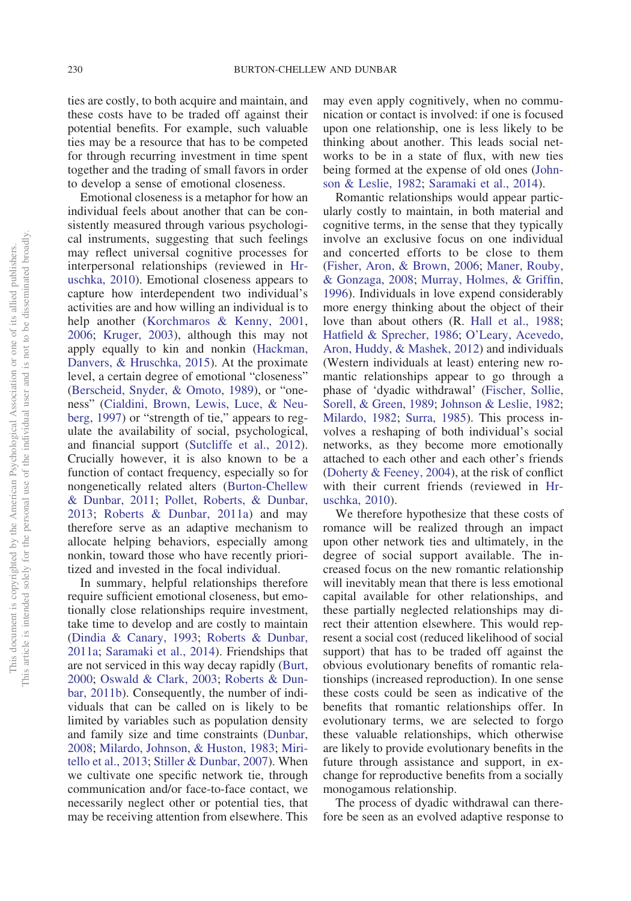ties are costly, to both acquire and maintain, and these costs have to be traded off against their potential benefits. For example, such valuable ties may be a resource that has to be competed for through recurring investment in time spent together and the trading of small favors in order to develop a sense of emotional closeness.

Emotional closeness is a metaphor for how an individual feels about another that can be consistently measured through various psychological instruments, suggesting that such feelings may reflect universal cognitive processes for interpersonal relationships (reviewed in [Hr](#page-11-3)[uschka, 2010\)](#page-11-3). Emotional closeness appears to capture how interdependent two individual's activities are and how willing an individual is to help another [\(Korchmaros & Kenny, 2001,](#page-11-4) [2006;](#page-11-5) [Kruger, 2003\)](#page-11-6), although this may not apply equally to kin and nonkin [\(Hackman,](#page-10-6) [Danvers, & Hruschka, 2015\)](#page-10-6). At the proximate level, a certain degree of emotional "closeness" [\(Berscheid, Snyder, & Omoto, 1989\)](#page-10-7), or "oneness" [\(Cialdini, Brown, Lewis, Luce, & Neu](#page-10-8)[berg, 1997\)](#page-10-8) or "strength of tie," appears to regulate the availability of social, psychological, and financial support [\(Sutcliffe et al., 2012\)](#page-12-7). Crucially however, it is also known to be a function of contact frequency, especially so for nongenetically related alters [\(Burton-Chellew](#page-10-9) [& Dunbar, 2011;](#page-10-9) [Pollet, Roberts, & Dunbar,](#page-11-7) [2013;](#page-11-7) [Roberts & Dunbar, 2011a\)](#page-11-8) and may therefore serve as an adaptive mechanism to allocate helping behaviors, especially among nonkin, toward those who have recently prioritized and invested in the focal individual.

In summary, helpful relationships therefore require sufficient emotional closeness, but emotionally close relationships require investment, take time to develop and are costly to maintain [\(Dindia & Canary, 1993;](#page-10-10) [Roberts & Dunbar,](#page-11-8) [2011a;](#page-11-8) [Saramaki et al., 2014\)](#page-11-9). Friendships that are not serviced in this way decay rapidly [\(Burt,](#page-10-11) [2000;](#page-10-11) [Oswald & Clark, 2003;](#page-11-10) [Roberts & Dun](#page-11-11)[bar, 2011b\)](#page-11-11). Consequently, the number of individuals that can be called on is likely to be limited by variables such as population density and family size and time constraints [\(Dunbar,](#page-10-12) [2008;](#page-10-12) [Milardo, Johnson, & Huston, 1983;](#page-11-12) [Miri](#page-11-13)[tello et al., 2013;](#page-11-13) [Stiller & Dunbar, 2007\)](#page-12-10). When we cultivate one specific network tie, through communication and/or face-to-face contact, we necessarily neglect other or potential ties, that may be receiving attention from elsewhere. This may even apply cognitively, when no communication or contact is involved: if one is focused upon one relationship, one is less likely to be thinking about another. This leads social networks to be in a state of flux, with new ties being formed at the expense of old ones [\(John](#page-11-14)[son & Leslie, 1982;](#page-11-14) [Saramaki et al., 2014\)](#page-11-9).

Romantic relationships would appear particularly costly to maintain, in both material and cognitive terms, in the sense that they typically involve an exclusive focus on one individual and concerted efforts to be close to them [\(Fisher, Aron, & Brown, 2006;](#page-10-13) [Maner, Rouby,](#page-11-15) [& Gonzaga, 2008;](#page-11-15) [Murray, Holmes, & Griffin,](#page-11-16) [1996\)](#page-11-16). Individuals in love expend considerably more energy thinking about the object of their love than about others (R. [Hall et al., 1988;](#page-11-17) [Hatfield & Sprecher, 1986;](#page-11-18) [O'Leary, Acevedo,](#page-11-19) [Aron, Huddy, & Mashek, 2012\)](#page-11-19) and individuals (Western individuals at least) entering new romantic relationships appear to go through a phase of 'dyadic withdrawal' [\(Fischer, Sollie,](#page-10-14) [Sorell, & Green, 1989;](#page-10-14) [Johnson & Leslie, 1982;](#page-11-14) [Milardo, 1982;](#page-11-20) [Surra, 1985\)](#page-12-11). This process involves a reshaping of both individual's social networks, as they become more emotionally attached to each other and each other's friends [\(Doherty & Feeney, 2004\)](#page-10-15), at the risk of conflict with their current friends (reviewed in [Hr](#page-11-3)[uschka, 2010\)](#page-11-3).

We therefore hypothesize that these costs of romance will be realized through an impact upon other network ties and ultimately, in the degree of social support available. The increased focus on the new romantic relationship will inevitably mean that there is less emotional capital available for other relationships, and these partially neglected relationships may direct their attention elsewhere. This would represent a social cost (reduced likelihood of social support) that has to be traded off against the obvious evolutionary benefits of romantic relationships (increased reproduction). In one sense these costs could be seen as indicative of the benefits that romantic relationships offer. In evolutionary terms, we are selected to forgo these valuable relationships, which otherwise are likely to provide evolutionary benefits in the future through assistance and support, in exchange for reproductive benefits from a socially monogamous relationship.

The process of dyadic withdrawal can therefore be seen as an evolved adaptive response to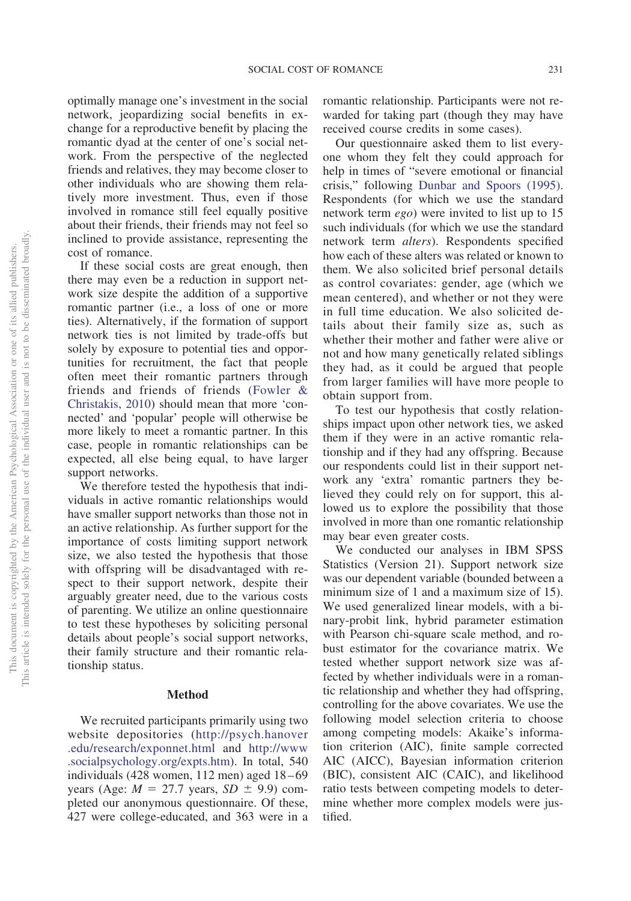optimally manage one's investment in the social network, jeopardizing social benefits in exchange for a reproductive benefit by placing the romantic dyad at the center of one's social network. From the perspective of the neglected friends and relatives, they may become closer to other individuals who are showing them relatively more investment. Thus, even if those involved in romance still feel equally positive about their friends, their friends may not feel so inclined to provide assistance, representing the cost of romance.

If these social costs are great enough, then there may even be a reduction in support network size despite the addition of a supportive romantic partner (i.e., a loss of one or more ties). Alternatively, if the formation of support network ties is not limited by trade-offs but solely by exposure to potential ties and opportunities for recruitment, the fact that people often meet their romantic partners through friends and friends of friends [\(Fowler &](#page-10-16) [Christakis, 2010\)](#page-10-16) should mean that more 'connected' and 'popular' people will otherwise be more likely to meet a romantic partner. In this case, people in romantic relationships can be expected, all else being equal, to have larger support networks.

We therefore tested the hypothesis that individuals in active romantic relationships would have smaller support networks than those not in an active relationship. As further support for the importance of costs limiting support network size, we also tested the hypothesis that those with offspring will be disadvantaged with respect to their support network, despite their arguably greater need, due to the various costs of parenting. We utilize an online questionnaire to test these hypotheses by soliciting personal details about people's social support networks, their family structure and their romantic relationship status.

#### **Method**

We recruited participants primarily using two website depositories [\(http://psych.hanover](http://psych.hanover.edu/research/exponnet.html) [.edu/research/exponnet.html](http://psych.hanover.edu/research/exponnet.html) and [http://www](http://www.socialpsychology.org/expts.htm) [.socialpsychology.org/expts.htm\)](http://www.socialpsychology.org/expts.htm). In total, 540 individuals  $(428$  women, 112 men) aged  $18-69$ years (Age:  $M = 27.7$  years,  $SD \pm 9.9$ ) completed our anonymous questionnaire. Of these, 427 were college-educated, and 363 were in a romantic relationship. Participants were not rewarded for taking part (though they may have received course credits in some cases).

Our questionnaire asked them to list everyone whom they felt they could approach for help in times of "severe emotional or financial crisis," following [Dunbar and Spoors \(1995\).](#page-10-5) Respondents (for which we use the standard network term *ego*) were invited to list up to 15 such individuals (for which we use the standard network term *alters*). Respondents specified how each of these alters was related or known to them. We also solicited brief personal details as control covariates: gender, age (which we mean centered), and whether or not they were in full time education. We also solicited details about their family size as, such as whether their mother and father were alive or not and how many genetically related siblings they had, as it could be argued that people from larger families will have more people to obtain support from.

To test our hypothesis that costly relationships impact upon other network ties, we asked them if they were in an active romantic relationship and if they had any offspring. Because our respondents could list in their support network any 'extra' romantic partners they believed they could rely on for support, this allowed us to explore the possibility that those involved in more than one romantic relationship may bear even greater costs.

We conducted our analyses in IBM SPSS Statistics (Version 21). Support network size was our dependent variable (bounded between a minimum size of 1 and a maximum size of 15). We used generalized linear models, with a binary-probit link, hybrid parameter estimation with Pearson chi-square scale method, and robust estimator for the covariance matrix. We tested whether support network size was affected by whether individuals were in a romantic relationship and whether they had offspring, controlling for the above covariates. We use the following model selection criteria to choose among competing models: Akaike's information criterion (AIC), finite sample corrected AIC (AICC), Bayesian information criterion (BIC), consistent AIC (CAIC), and likelihood ratio tests between competing models to determine whether more complex models were justified.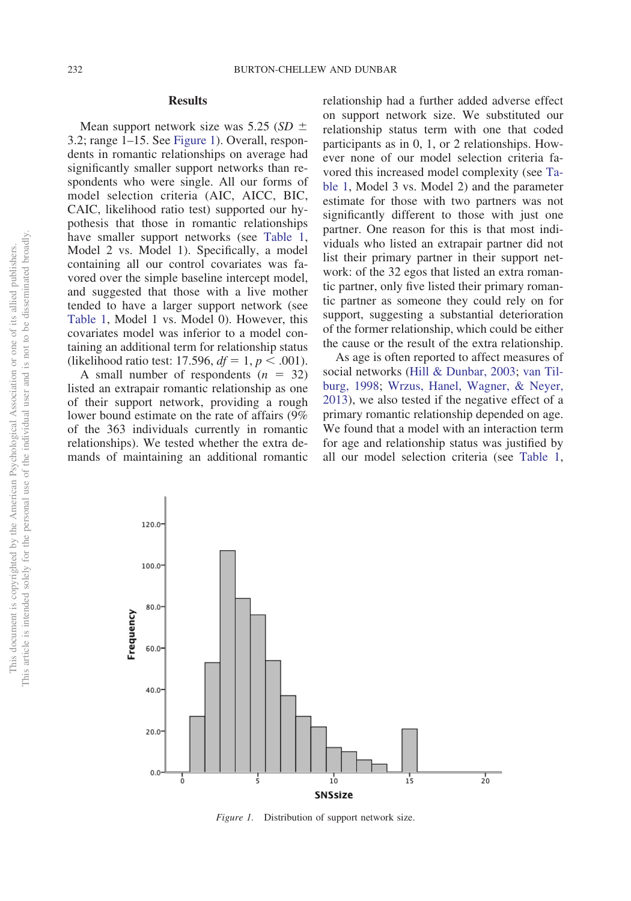#### **Results**

Mean support network size was 5.25 (*SD* 3.2; range 1–15. See [Figure 1\)](#page-3-0). Overall, respondents in romantic relationships on average had significantly smaller support networks than respondents who were single. All our forms of model selection criteria (AIC, AICC, BIC, CAIC, likelihood ratio test) supported our hypothesis that those in romantic relationships have smaller support networks (see [Table 1,](#page-4-0) Model 2 vs. Model 1). Specifically, a model containing all our control covariates was favored over the simple baseline intercept model, and suggested that those with a live mother tended to have a larger support network (see [Table 1,](#page-4-0) Model 1 vs. Model 0). However, this covariates model was inferior to a model containing an additional term for relationship status (likelihood ratio test: 17.596,  $df = 1, p < .001$ ).

A small number of respondents  $(n = 32)$ listed an extrapair romantic relationship as one of their support network, providing a rough lower bound estimate on the rate of affairs (9% of the 363 individuals currently in romantic relationships). We tested whether the extra demands of maintaining an additional romantic relationship had a further added adverse effect on support network size. We substituted our relationship status term with one that coded participants as in 0, 1, or 2 relationships. However none of our model selection criteria favored this increased model complexity (see [Ta](#page-4-0)[ble 1,](#page-4-0) Model 3 vs. Model 2) and the parameter estimate for those with two partners was not significantly different to those with just one partner. One reason for this is that most individuals who listed an extrapair partner did not list their primary partner in their support network: of the 32 egos that listed an extra romantic partner, only five listed their primary romantic partner as someone they could rely on for support, suggesting a substantial deterioration of the former relationship, which could be either the cause or the result of the extra relationship.

As age is often reported to affect measures of social networks [\(Hill & Dunbar, 2003;](#page-11-21) [van Til](#page-12-12)[burg, 1998;](#page-12-12) [Wrzus, Hanel, Wagner, & Neyer,](#page-12-13) [2013\)](#page-12-13), we also tested if the negative effect of a primary romantic relationship depended on age. We found that a model with an interaction term for age and relationship status was justified by all our model selection criteria (see [Table 1,](#page-4-0)



<span id="page-3-0"></span>*Figure 1.* Distribution of support network size.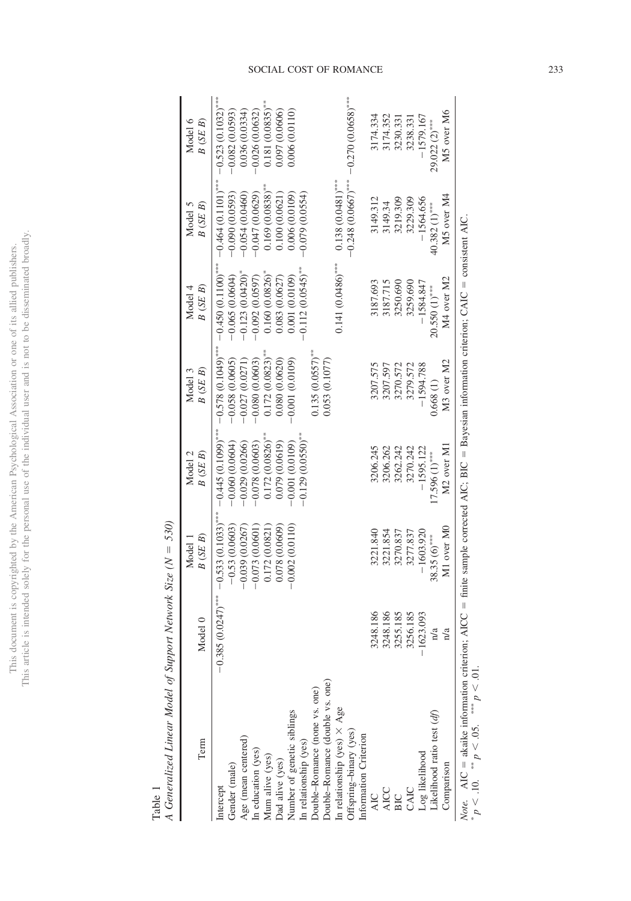|                | ï                        |
|----------------|--------------------------|
|                |                          |
| j<br>i         | i                        |
| ä              |                          |
| ś              |                          |
| j<br>į         |                          |
|                |                          |
|                |                          |
|                |                          |
|                |                          |
| ĺ              |                          |
| ì              | j                        |
|                |                          |
|                | $\ddot{\phantom{0}}$     |
| ì              |                          |
|                |                          |
|                |                          |
|                |                          |
|                |                          |
|                |                          |
|                |                          |
|                |                          |
|                |                          |
|                |                          |
|                |                          |
|                |                          |
|                |                          |
|                | Ϊ                        |
|                | ś                        |
|                |                          |
|                | ¢                        |
|                | j                        |
|                | $\ddot{\phantom{a}}$     |
|                |                          |
| )              |                          |
| ì              |                          |
|                |                          |
|                |                          |
| $\frac{1}{1}$  |                          |
|                |                          |
| $\overline{)}$ |                          |
|                |                          |
|                | ξ<br>í                   |
| ċ              |                          |
| ì<br>i         |                          |
|                |                          |
|                |                          |
|                |                          |
|                |                          |
| the            | í                        |
|                |                          |
|                |                          |
|                | ł                        |
|                |                          |
|                |                          |
| l              |                          |
| J              |                          |
| j              |                          |
| į              |                          |
| ï              |                          |
| 0              |                          |
|                |                          |
|                |                          |
|                |                          |
|                |                          |
|                |                          |
|                |                          |
| i              |                          |
|                |                          |
|                |                          |
|                |                          |
| This d         |                          |
|                | n<br>F                   |
| i              |                          |
|                | his -                    |
|                | İ                        |
|                | $\overline{\phantom{a}}$ |

<span id="page-4-0"></span>Table 1

 $\overline{\phantom{a}}$ 

*A Generalized Linear Model of Support Network Size (N* -*530)*

| Term                                                                                                                                                                                                                                                                         | Model 0              | B(SE B)<br>Model 1                      | B(SE B)<br>Model 2                       | Model 3<br>B(SE B)                       | Model 4<br>B(SE B)                       | B(SE B)<br>Model 5                   | Model 6<br>B(SE B)                       |
|------------------------------------------------------------------------------------------------------------------------------------------------------------------------------------------------------------------------------------------------------------------------------|----------------------|-----------------------------------------|------------------------------------------|------------------------------------------|------------------------------------------|--------------------------------------|------------------------------------------|
| Gender (male)<br>ntercept                                                                                                                                                                                                                                                    | $-0.385(0.0247)$ *** | $-0.533(0.1033)$ ***<br>$-0.53(0.0603)$ | $-0.445(0.1099)$ ***<br>$-0.060(0.0604)$ | $-0.578(0.1049)$ ***<br>$-0.058(0.0605)$ | $-0.450(0.1100)$ ***<br>$-0.065(0.0604)$ | $-0.464(0.1101)$<br>$-0.090(0.0593)$ | $-0.523(0.1032)$ ***<br>$-0.082(0.0593)$ |
|                                                                                                                                                                                                                                                                              |                      | $-0.039(0.0267)$                        | $-0.029(0.0266)$                         | $-0.027(0.0271)$                         | $-0.123(0.0420)$                         | $-0.054(0.0460)$                     | 0.036(0.0334)                            |
| Age (mean centered)<br>In education (yes)                                                                                                                                                                                                                                    |                      | $-0.073(0.0601)$                        | $-0.078(0.0603)$                         | $-0.080(0.0603)$                         | $-0.092(0.0597)$                         | $-0.047(0.0629)$                     | $-0.026(0.0632)$                         |
| Mum alive (yes)                                                                                                                                                                                                                                                              |                      | 0.172(0.0821)                           | $0.172(0.0826)$ **                       | $0.172(0.0823)$ **                       | 0.160(0.0826)                            | $0.169(0.0838)$ **                   | $0.181(0.0835)$ **                       |
| Dad alive (yes)                                                                                                                                                                                                                                                              |                      | 0.078 (0.0609)                          | 0.079 (0.0619)                           | 0.080 (0.0620)                           | 0.083 (0.0627)                           | 0.100 (0.0621)                       | 0.097 (0.0606)                           |
| Number of genetic siblings                                                                                                                                                                                                                                                   |                      | $-0.002(0.0110)$                        | $-0.001(0.0109)$                         | $-0.001(0.0109)$                         | 0.001(0.0109)                            | 0.006 (0.0109)                       | 0.006 (0.0110)                           |
| In relationship (yes)                                                                                                                                                                                                                                                        |                      |                                         | $-0.129(0.0550)$ <sup>**</sup>           |                                          | $-0.112(0.0545)$ **                      | $-0.079(0.0554)$                     |                                          |
| Double-Romance (none vs. one)                                                                                                                                                                                                                                                |                      |                                         |                                          | $0.135(0.0557)^{**}$                     |                                          |                                      |                                          |
| Double-Romance (double vs. one)                                                                                                                                                                                                                                              |                      |                                         |                                          | 0.053(0.1077)                            |                                          |                                      |                                          |
| n relationship (yes) $\times$ Age                                                                                                                                                                                                                                            |                      |                                         |                                          |                                          | $0.141(0.0486)$ ***                      | $0.138(0.0481)$ ***                  |                                          |
| )ffspring-binary (yes)                                                                                                                                                                                                                                                       |                      |                                         |                                          |                                          |                                          | $-0.248(0.0667)$ ***                 | $-0.270(0.0658)$ ***                     |
| Information Criterion                                                                                                                                                                                                                                                        |                      |                                         |                                          |                                          |                                          |                                      |                                          |
| <b>AIC</b>                                                                                                                                                                                                                                                                   | 3248.186             | 3221.840                                | 3206.245                                 | 3207.575                                 | 3187.693                                 | 3149.312                             | 3174.334                                 |
|                                                                                                                                                                                                                                                                              | 3248.186             | 3221.854                                | 3206.262                                 | 3207.597                                 | 3187.715                                 | 3149.34                              | 3174.352                                 |
|                                                                                                                                                                                                                                                                              | 3255.185             | 3270.837                                | 3262.242                                 | 3270.572                                 | 3250.690                                 | 3219.309                             | 3230.33                                  |
| AICC<br>BIC<br>CAIC                                                                                                                                                                                                                                                          | 3256.185             | 3277.837                                | 3270.242                                 | 3279.572                                 | 3259.690                                 | 3229.309                             | 3238.331                                 |
| Log likelihood<br>Likelihood ratio test ( <i>df</i> )                                                                                                                                                                                                                        | $-1623.093$          | $-1603.920$                             | $-1595.122$                              | $-1594.788$                              | $-1584.847$                              | $-1564.656$                          | $-1579.167$                              |
|                                                                                                                                                                                                                                                                              | n/a                  | $38.35(6)$ ***                          | $17.596(1)$ ***                          | 0.668(1)                                 | 20.550 (1)***                            | $40.382(1)$ ***                      | $29.022(2)$ ***                          |
| Comparison                                                                                                                                                                                                                                                                   | n/a                  | M1 over M0                              | M2 over M1                               | M3 over M2                               | M4 over M2                               | M5 over M4                           | M5 over M6                               |
| $M_{\rm{tot}}$ and $\sim$ 11.41.4 and $\sim$ 2.11.4 and $\sim$ 110 $\sim$ 11.4 and $\sim$ 110 $\sim$ 110 $\sim$ 110 $\sim$ 110 $\sim$ 110 $\sim$ 110 $\sim$ 110 $\sim$ 110 $\sim$ 110 $\sim$ 110 $\sim$ 110 $\sim$ 110 $\sim$ 110 $\sim$ 110 $\sim$ 110 $\sim$ 110 $\sim$ 11 |                      |                                         |                                          |                                          |                                          |                                      |                                          |

 $Note.$  AIC  $=$  $=$  akaike information criterion; AICC  $=$  $=$  finite sample corrected AIC; BIC  $=$  $=$  Bayesian information criterion; CAIC  $=$  consistent AIC. \*  $p < 10$ .  $\frac{1}{2}$  $p < 0.05$ .  $p > 0!$ .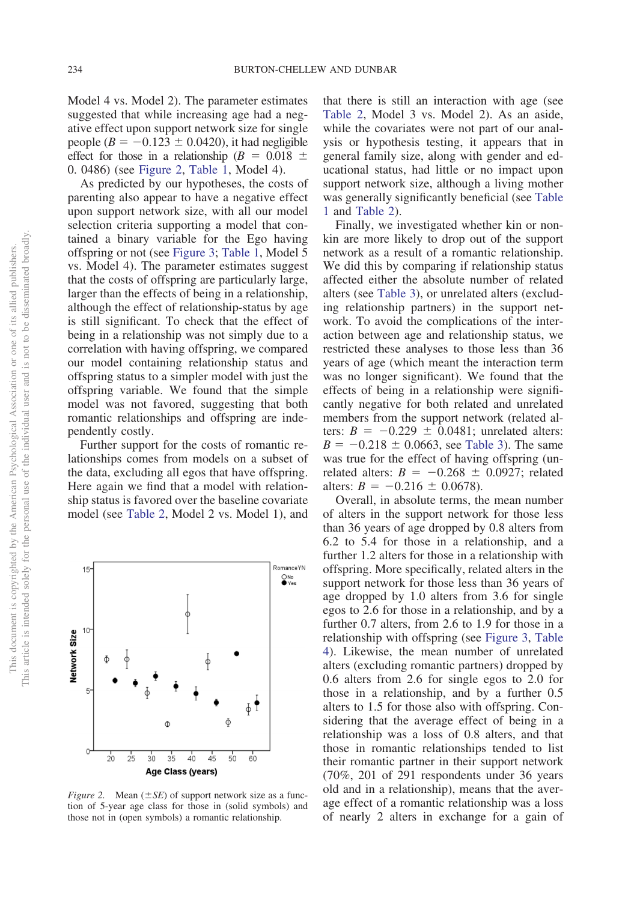Model 4 vs. Model 2). The parameter estimates suggested that while increasing age had a negative effect upon support network size for single people  $(B = -0.123 \pm 0.0420)$ , it had negligible effect for those in a relationship ( $B = 0.018 \pm 1$ 0. 0486) (see [Figure 2,](#page-5-0) [Table 1,](#page-4-0) Model 4).

As predicted by our hypotheses, the costs of parenting also appear to have a negative effect upon support network size, with all our model selection criteria supporting a model that contained a binary variable for the Ego having offspring or not (see [Figure 3;](#page-6-0) [Table 1,](#page-4-0) Model 5 vs. Model 4). The parameter estimates suggest that the costs of offspring are particularly large, larger than the effects of being in a relationship, although the effect of relationship-status by age is still significant. To check that the effect of being in a relationship was not simply due to a correlation with having offspring, we compared our model containing relationship status and offspring status to a simpler model with just the offspring variable. We found that the simple model was not favored, suggesting that both romantic relationships and offspring are independently costly.

Further support for the costs of romantic relationships comes from models on a subset of the data, excluding all egos that have offspring. Here again we find that a model with relationship status is favored over the baseline covariate model (see [Table 2,](#page-7-0) Model 2 vs. Model 1), and that there is still an interaction with age (see [Table 2,](#page-7-0) Model 3 vs. Model 2). As an aside, while the covariates were not part of our analysis or hypothesis testing, it appears that in general family size, along with gender and educational status, had little or no impact upon support network size, although a living mother was generally significantly beneficial (see [Table](#page-4-0) [1](#page-4-0) and [Table 2\)](#page-7-0).

Finally, we investigated whether kin or nonkin are more likely to drop out of the support network as a result of a romantic relationship. We did this by comparing if relationship status affected either the absolute number of related alters (see [Table 3\)](#page-8-0), or unrelated alters (excluding relationship partners) in the support network. To avoid the complications of the interaction between age and relationship status, we restricted these analyses to those less than 36 years of age (which meant the interaction term was no longer significant). We found that the effects of being in a relationship were significantly negative for both related and unrelated members from the support network (related alters:  $B = -0.229 \pm 0.0481$ ; unrelated alters:  $B = -0.218 \pm 0.0663$ , see [Table 3\)](#page-8-0). The same was true for the effect of having offspring (unrelated alters:  $B = -0.268 \pm 0.0927$ ; related alters:  $B = -0.216 \pm 0.0678$ .

Overall, in absolute terms, the mean number of alters in the support network for those less than 36 years of age dropped by 0.8 alters from 6.2 to 5.4 for those in a relationship, and a further 1.2 alters for those in a relationship with offspring. More specifically, related alters in the support network for those less than 36 years of age dropped by 1.0 alters from 3.6 for single egos to 2.6 for those in a relationship, and by a further 0.7 alters, from 2.6 to 1.9 for those in a relationship with offspring (see [Figure 3,](#page-6-0) [Table](#page-9-0) [4\)](#page-9-0). Likewise, the mean number of unrelated alters (excluding romantic partners) dropped by 0.6 alters from 2.6 for single egos to 2.0 for those in a relationship, and by a further 0.5 alters to 1.5 for those also with offspring. Considering that the average effect of being in a relationship was a loss of 0.8 alters, and that those in romantic relationships tended to list their romantic partner in their support network (70%, 201 of 291 respondents under 36 years old and in a relationship), means that the average effect of a romantic relationship was a loss of nearly 2 alters in exchange for a gain of

<span id="page-5-0"></span>*Figure 2.* Mean  $(\pm SE)$  of support network size as a function of 5-year age class for those in (solid symbols) and those not in (open symbols) a romantic relationship.

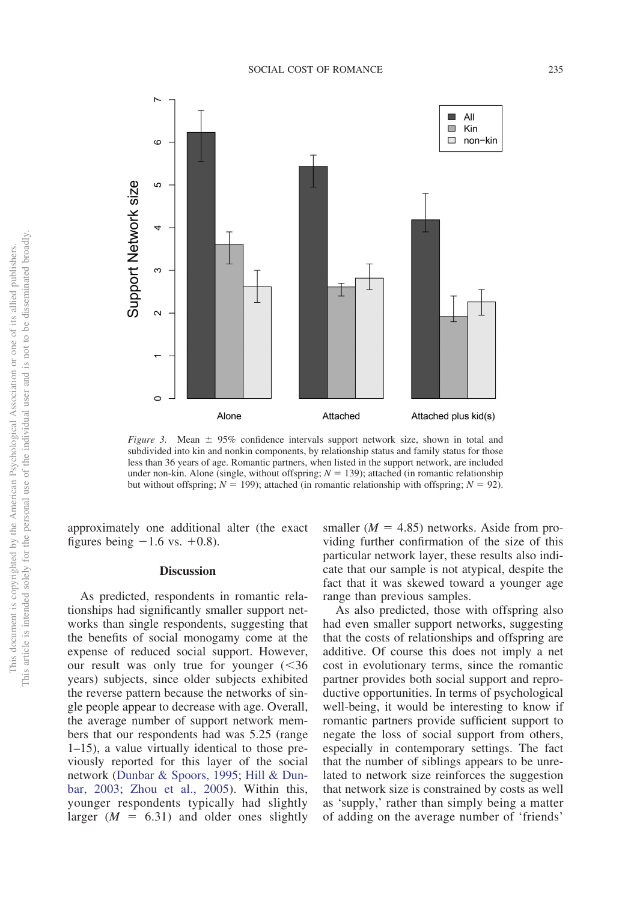

<span id="page-6-0"></span>*Figure 3.* Mean  $\pm$  95% confidence intervals support network size, shown in total and subdivided into kin and nonkin components, by relationship status and family status for those less than 36 years of age. Romantic partners, when listed in the support network, are included under non-kin. Alone (single, without offspring;  $N = 139$ ); attached (in romantic relationship but without offspring;  $N = 199$ ); attached (in romantic relationship with offspring;  $N = 92$ ).

approximately one additional alter (the exact figures being  $-1.6$  vs.  $+0.8$ ).

### **Discussion**

As predicted, respondents in romantic relationships had significantly smaller support networks than single respondents, suggesting that the benefits of social monogamy come at the expense of reduced social support. However, our result was only true for younger (<36 years) subjects, since older subjects exhibited the reverse pattern because the networks of single people appear to decrease with age. Overall, the average number of support network members that our respondents had was 5.25 (range 1–15), a value virtually identical to those previously reported for this layer of the social network [\(Dunbar & Spoors, 1995;](#page-10-5) [Hill & Dun](#page-11-21)[bar, 2003;](#page-11-21) [Zhou et al., 2005\)](#page-12-9). Within this, younger respondents typically had slightly larger  $(M = 6.31)$  and older ones slightly

smaller  $(M = 4.85)$  networks. Aside from providing further confirmation of the size of this particular network layer, these results also indicate that our sample is not atypical, despite the fact that it was skewed toward a younger age range than previous samples.

As also predicted, those with offspring also had even smaller support networks, suggesting that the costs of relationships and offspring are additive. Of course this does not imply a net cost in evolutionary terms, since the romantic partner provides both social support and reproductive opportunities. In terms of psychological well-being, it would be interesting to know if romantic partners provide sufficient support to negate the loss of social support from others, especially in contemporary settings. The fact that the number of siblings appears to be unrelated to network size reinforces the suggestion that network size is constrained by costs as well as 'supply,' rather than simply being a matter of adding on the average number of 'friends'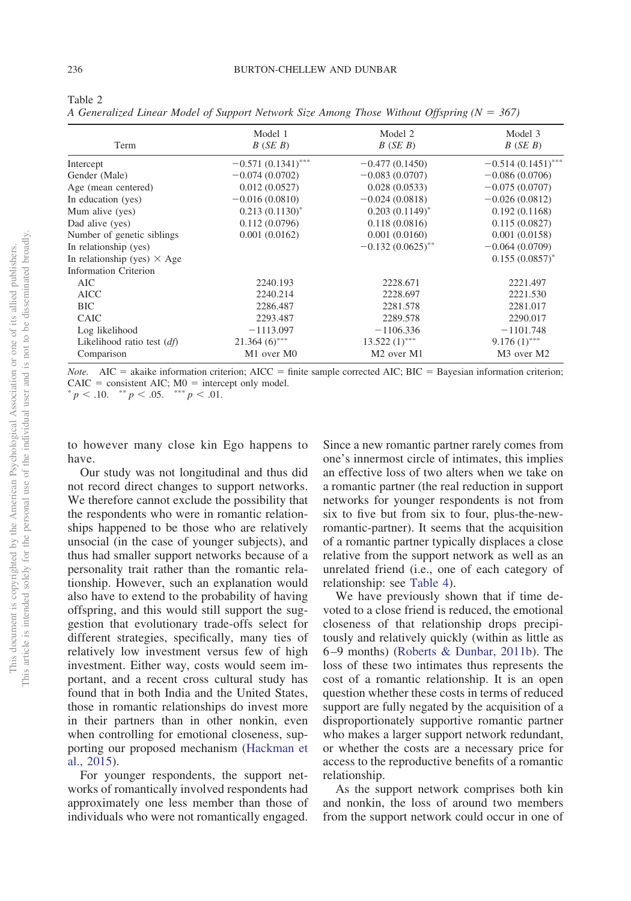<span id="page-7-0"></span>

 $\mathfrak{2}$ 

*A Generalized Linear Model of Support Network Size Among Those Without Offspring (N* - *367)*

| Term                               | Model 1<br>B(SE B)   | Model 2<br>B(SE B)                 | Model 3<br>B(SE B)                 |
|------------------------------------|----------------------|------------------------------------|------------------------------------|
| Intercept                          | $-0.571(0.1341)$ *** | $-0.477(0.1450)$                   | $-0.514(0.1451)$ ***               |
| Gender (Male)                      | $-0.074(0.0702)$     | $-0.083(0.0707)$                   | $-0.086(0.0706)$                   |
| Age (mean centered)                | 0.012(0.0527)        | 0.028(0.0533)                      | $-0.075(0.0707)$                   |
| In education (yes)                 | $-0.016(0.0810)$     | $-0.024(0.0818)$                   | $-0.026(0.0812)$                   |
| Mum alive (yes)                    | $0.213(0.1130)^{*}$  | $0.203(0.1149)^{*}$                | 0.192(0.1168)                      |
| Dad alive (yes)                    | 0.112(0.0796)        | 0.118(0.0816)                      | 0.115(0.0827)                      |
| Number of genetic siblings         | 0.001(0.0162)        | 0.001(0.0160)                      | 0.001(0.0158)                      |
| In relationship (yes)              |                      | $-0.132(0.0625)$ **                | $-0.064(0.0709)$                   |
| In relationship (yes) $\times$ Age |                      |                                    | $0.155(0.0857)^{*}$                |
| Information Criterion              |                      |                                    |                                    |
| AIC                                | 2240.193             | 2228.671                           | 2221.497                           |
| <b>AICC</b>                        | 2240.214             | 2228.697                           | 2221.530                           |
| <b>BIC</b>                         | 2286.487             | 2281.578                           | 2281.017                           |
| <b>CAIC</b>                        | 2293.487             | 2289.578                           | 2290.017                           |
| Log likelihood                     | $-1113.097$          | $-1106.336$                        | $-1101.748$                        |
| Likelihood ratio test $(df)$       | $21.364(6)$ ***      | $13.522(1)$ ***                    | $9.176(1)$ ***                     |
| Comparison                         | M1 over M0           | M <sub>2</sub> over M <sub>1</sub> | M <sub>3</sub> over M <sub>2</sub> |

*Note.*  $AIC = akaike information criterion; AICC = finite sample corrected AIC; BIC = Bayesian information criterion;$ CAIC = consistent AIC;  $M0 =$  intercept only model.

 $p < .10.$  \*\*  $p < .05.$  \*\*\*  $p < .01.$ 

to however many close kin Ego happens to have.

Our study was not longitudinal and thus did not record direct changes to support networks. We therefore cannot exclude the possibility that the respondents who were in romantic relationships happened to be those who are relatively unsocial (in the case of younger subjects), and thus had smaller support networks because of a personality trait rather than the romantic relationship. However, such an explanation would also have to extend to the probability of having offspring, and this would still support the suggestion that evolutionary trade-offs select for different strategies, specifically, many ties of relatively low investment versus few of high investment. Either way, costs would seem important, and a recent cross cultural study has found that in both India and the United States, those in romantic relationships do invest more in their partners than in other nonkin, even when controlling for emotional closeness, supporting our proposed mechanism [\(Hackman et](#page-10-6) [al., 2015\)](#page-10-6).

For younger respondents, the support networks of romantically involved respondents had approximately one less member than those of individuals who were not romantically engaged.

Since a new romantic partner rarely comes from one's innermost circle of intimates, this implies an effective loss of two alters when we take on a romantic partner (the real reduction in support networks for younger respondents is not from six to five but from six to four, plus-the-newromantic-partner). It seems that the acquisition of a romantic partner typically displaces a close relative from the support network as well as an unrelated friend (i.e., one of each category of relationship: see [Table 4\)](#page-9-0).

We have previously shown that if time devoted to a close friend is reduced, the emotional closeness of that relationship drops precipitously and relatively quickly (within as little as 6 –9 months) [\(Roberts & Dunbar, 2011b\)](#page-11-11). The loss of these two intimates thus represents the cost of a romantic relationship. It is an open question whether these costs in terms of reduced support are fully negated by the acquisition of a disproportionately supportive romantic partner who makes a larger support network redundant, or whether the costs are a necessary price for access to the reproductive benefits of a romantic relationship.

As the support network comprises both kin and nonkin, the loss of around two members from the support network could occur in one of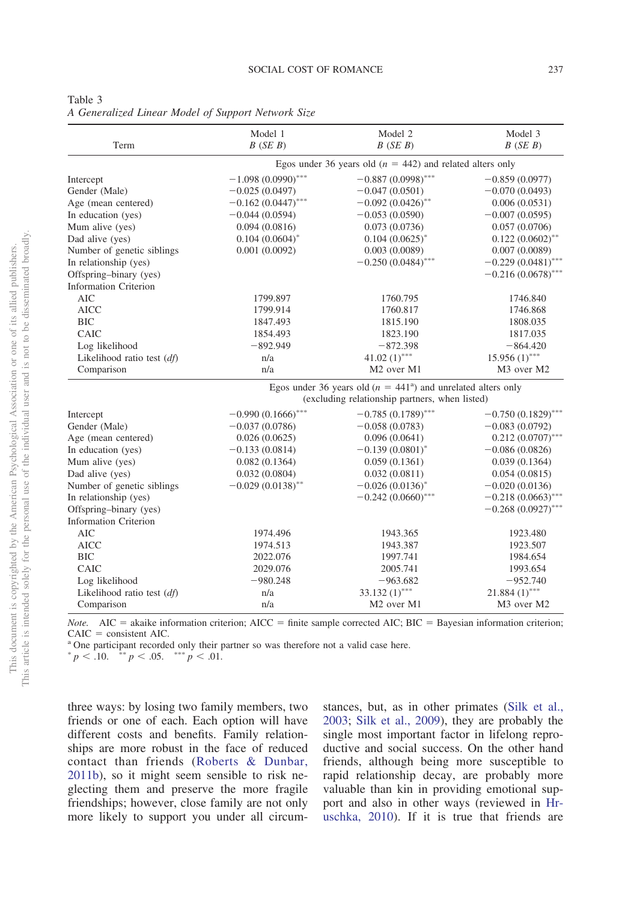<span id="page-8-0"></span>

| ۰,<br>I |  |
|---------|--|
|---------|--|

*A Generalized Linear Model of Support Network Size*

| Term                         | Model 1<br>B(SE B)   | Model 2<br>B(SE B)                                                      | Model 3<br>B(SE B)                 |  |
|------------------------------|----------------------|-------------------------------------------------------------------------|------------------------------------|--|
|                              |                      | Egos under 36 years old ( $n = 442$ ) and related alters only           |                                    |  |
| Intercept                    | $-1.098(0.0990)$ *** | $-0.887(0.0998)$ ***                                                    | $-0.859(0.0977)$                   |  |
| Gender (Male)                | $-0.025(0.0497)$     | $-0.047(0.0501)$                                                        | $-0.070(0.0493)$                   |  |
| Age (mean centered)          | $-0.162(0.0447)$ *** | $-0.092(0.0426)$ **                                                     | 0.006(0.0531)                      |  |
| In education (yes)           | $-0.044(0.0594)$     | $-0.053(0.0590)$                                                        | $-0.007(0.0595)$                   |  |
| Mum alive (yes)              | 0.094(0.0816)        | 0.073(0.0736)                                                           | 0.057(0.0706)                      |  |
| Dad alive (yes)              | $0.104(0.0604)^{*}$  | $0.104(0.0625)^{*}$                                                     | $0.122(0.0602)$ **                 |  |
| Number of genetic siblings   | 0.001(0.0092)        | 0.003(0.0089)                                                           | 0.007(0.0089)                      |  |
| In relationship (yes)        |                      | $-0.250(0.0484)$ ***                                                    | $-0.229(0.0481)$ ***               |  |
| Offspring-binary (yes)       |                      |                                                                         | $-0.216(0.0678)$ ***               |  |
| <b>Information Criterion</b> |                      |                                                                         |                                    |  |
| <b>AIC</b>                   | 1799.897             | 1760.795                                                                | 1746.840                           |  |
| <b>AICC</b>                  | 1799.914             | 1760.817                                                                | 1746.868                           |  |
| <b>BIC</b>                   | 1847.493             | 1815.190                                                                | 1808.035                           |  |
| CAIC                         | 1854.493             | 1823.190                                                                | 1817.035                           |  |
| Log likelihood               | $-892.949$           | $-872.398$                                                              | $-864.420$                         |  |
| Likelihood ratio test $(df)$ | n/a                  | $41.02(1)$ ***                                                          | $15.956(1)$ ***                    |  |
| Comparison                   | n/a                  | M <sub>2</sub> over M <sub>1</sub>                                      | M3 over M2                         |  |
|                              |                      | Egos under 36 years old ( $n = 441^{\circ}$ ) and unrelated alters only |                                    |  |
|                              |                      | (excluding relationship partners, when listed)                          |                                    |  |
| Intercept                    | $-0.990(0.1666)$ *** | $-0.785(0.1789)$ ***                                                    | $-0.750(0.1829)$ ***               |  |
| Gender (Male)                | $-0.037(0.0786)$     | $-0.058(0.0783)$                                                        | $-0.083(0.0792)$                   |  |
| Age (mean centered)          | 0.026(0.0625)        | 0.096(0.0641)                                                           | $0.212(0.0707)$ ***                |  |
| In education (yes)           | $-0.133(0.0814)$     | $-0.139(0.0801)^{*}$                                                    | $-0.086(0.0826)$                   |  |
| Mum alive (yes)              | 0.082(0.1364)        | 0.059(0.1361)                                                           | 0.039(0.1364)                      |  |
| Dad alive (yes)              | 0.032(0.0804)        | 0.032(0.0811)                                                           | 0.054(0.0815)                      |  |
| Number of genetic siblings   | $-0.029(0.0138)$ **  | $-0.026(0.0136)^{*}$                                                    | $-0.020(0.0136)$                   |  |
| In relationship (yes)        |                      | $-0.242(0.0660)$ ***                                                    | $-0.218(0.0663)$ ***               |  |
| Offspring-binary (yes)       |                      |                                                                         | $-0.268(0.0927)$ ***               |  |
| <b>Information Criterion</b> |                      |                                                                         |                                    |  |
| <b>AIC</b>                   | 1974.496             | 1943.365                                                                | 1923.480                           |  |
| <b>AICC</b>                  | 1974.513             | 1943.387                                                                | 1923.507                           |  |
| <b>BIC</b>                   | 2022.076             | 1997.741                                                                | 1984.654                           |  |
| CAIC                         | 2029.076             | 2005.741                                                                | 1993.654                           |  |
| Log likelihood               | $-980.248$           | $-963.682$                                                              | $-952.740$                         |  |
| Likelihood ratio test $(df)$ | n/a                  | 33.132 $(1)$ ***                                                        | $21.884(1)$ ***                    |  |
| Comparison                   | n/a                  | M <sub>2</sub> over M <sub>1</sub>                                      | M <sub>3</sub> over M <sub>2</sub> |  |
|                              |                      |                                                                         |                                    |  |

*Note.*  $AIC = akaike information criterion; AICC = finite sample corrected AIC; BIC = Bayesian information criterion;$  $CAIC = consistent AIC.$ 

<sup>a</sup> One participant recorded only their partner so was therefore not a valid case here.

 $p < .10.$ <sup>\*\*</sup>  $p < .05.$ \*\*\*  $p < .01.$ <sup>\*\*</sup>

three ways: by losing two family members, two friends or one of each. Each option will have different costs and benefits. Family relationships are more robust in the face of reduced contact than friends [\(Roberts & Dunbar,](#page-11-11) [2011b\)](#page-11-11), so it might seem sensible to risk neglecting them and preserve the more fragile friendships; however, close family are not only more likely to support you under all circumstances, but, as in other primates [\(Silk et al.,](#page-12-4) [2003;](#page-12-4) [Silk et al., 2009\)](#page-12-5), they are probably the single most important factor in lifelong reproductive and social success. On the other hand friends, although being more susceptible to rapid relationship decay, are probably more valuable than kin in providing emotional support and also in other ways (reviewed in [Hr](#page-11-3)[uschka, 2010\)](#page-11-3). If it is true that friends are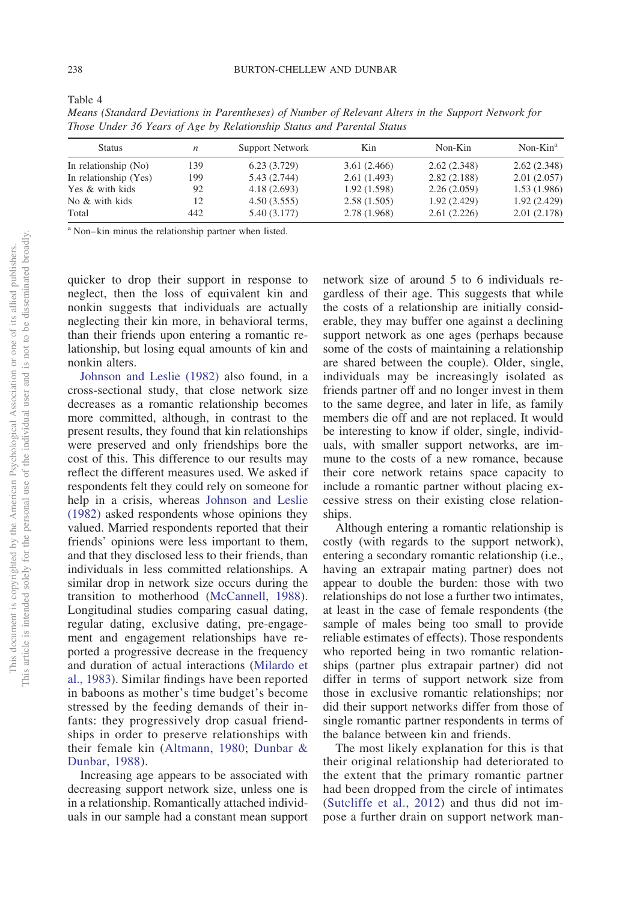| <b>Status</b>         | n   | Support Network | Kin          | Non-Kin     | $Non-Kina$  |
|-----------------------|-----|-----------------|--------------|-------------|-------------|
| In relationship (No)  | 139 | 6.23(3.729)     | 3.61(2.466)  | 2.62(2.348) | 2.62(2.348) |
| In relationship (Yes) | 199 | 5.43(2.744)     | 2.61(1.493)  | 2.82(2.188) | 2.01(2.057) |
| Yes & with kids       | 92  | 4.18(2.693)     | 1.92(1.598)  | 2.26(2.059) | 1.53(1.986) |
| No & with kids        | 12  | 4.50(3.555)     | 2.58(1.505)  | 1.92(2.429) | 1.92(2.429) |
| Total                 | 442 | 5.40 (3.177)    | 2.78 (1.968) | 2.61(2.226) | 2.01(2.178) |

*Means (Standard Deviations in Parentheses) of Number of Relevant Alters in the Support Network for Those Under 36 Years of Age by Relationship Status and Parental Status*

<sup>a</sup> Non– kin minus the relationship partner when listed.

quicker to drop their support in response to neglect, then the loss of equivalent kin and nonkin suggests that individuals are actually neglecting their kin more, in behavioral terms, than their friends upon entering a romantic relationship, but losing equal amounts of kin and nonkin alters.

[Johnson and Leslie \(1982\)](#page-11-14) also found, in a cross-sectional study, that close network size decreases as a romantic relationship becomes more committed, although, in contrast to the present results, they found that kin relationships were preserved and only friendships bore the cost of this. This difference to our results may reflect the different measures used. We asked if respondents felt they could rely on someone for help in a crisis, whereas [Johnson and Leslie](#page-11-14) [\(1982\)](#page-11-14) asked respondents whose opinions they valued. Married respondents reported that their friends' opinions were less important to them, and that they disclosed less to their friends, than individuals in less committed relationships. A similar drop in network size occurs during the transition to motherhood [\(McCannell, 1988\)](#page-11-22). Longitudinal studies comparing casual dating, regular dating, exclusive dating, pre-engagement and engagement relationships have reported a progressive decrease in the frequency and duration of actual interactions [\(Milardo et](#page-11-12) [al., 1983\)](#page-11-12). Similar findings have been reported in baboons as mother's time budget's become stressed by the feeding demands of their infants: they progressively drop casual friendships in order to preserve relationships with their female kin [\(Altmann, 1980;](#page-10-17) [Dunbar &](#page-10-18) [Dunbar, 1988\)](#page-10-18).

Increasing age appears to be associated with decreasing support network size, unless one is in a relationship. Romantically attached individuals in our sample had a constant mean support network size of around 5 to 6 individuals regardless of their age. This suggests that while the costs of a relationship are initially considerable, they may buffer one against a declining support network as one ages (perhaps because some of the costs of maintaining a relationship are shared between the couple). Older, single, individuals may be increasingly isolated as friends partner off and no longer invest in them to the same degree, and later in life, as family members die off and are not replaced. It would be interesting to know if older, single, individuals, with smaller support networks, are immune to the costs of a new romance, because their core network retains space capacity to include a romantic partner without placing excessive stress on their existing close relationships.

Although entering a romantic relationship is costly (with regards to the support network), entering a secondary romantic relationship (i.e., having an extrapair mating partner) does not appear to double the burden: those with two relationships do not lose a further two intimates, at least in the case of female respondents (the sample of males being too small to provide reliable estimates of effects). Those respondents who reported being in two romantic relationships (partner plus extrapair partner) did not differ in terms of support network size from those in exclusive romantic relationships; nor did their support networks differ from those of single romantic partner respondents in terms of the balance between kin and friends.

The most likely explanation for this is that their original relationship had deteriorated to the extent that the primary romantic partner had been dropped from the circle of intimates [\(Sutcliffe et al., 2012\)](#page-12-7) and thus did not impose a further drain on support network man-

<span id="page-9-0"></span>Table 4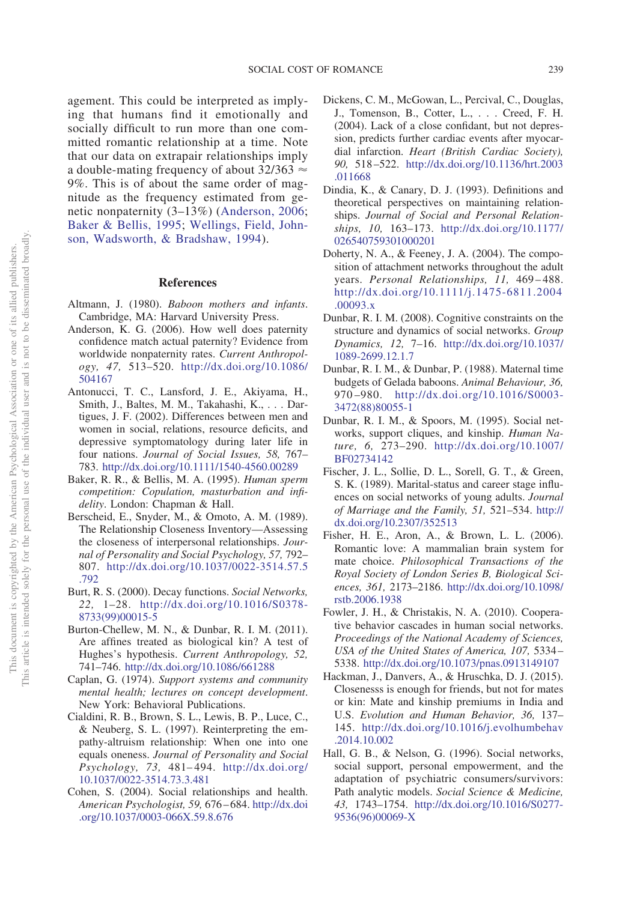agement. This could be interpreted as implying that humans find it emotionally and socially difficult to run more than one committed romantic relationship at a time. Note that our data on extrapair relationships imply a double-mating frequency of about  $32/363 \approx$ 9%. This is of about the same order of magnitude as the frequency estimated from genetic nonpaternity (3–13%) [\(Anderson, 2006;](#page-10-19) [Baker & Bellis, 1995;](#page-10-20) [Wellings, Field, John](#page-12-14)[son, Wadsworth, & Bradshaw, 1994\)](#page-12-14).

#### **References**

- <span id="page-10-17"></span>Altmann, J. (1980). *Baboon mothers and infants*. Cambridge, MA: Harvard University Press.
- <span id="page-10-19"></span>Anderson, K. G. (2006). How well does paternity confidence match actual paternity? Evidence from worldwide nonpaternity rates. *Current Anthropology, 47,* 513–520. [http://dx.doi.org/10.1086/](http://dx.doi.org/10.1086/504167) [504167](http://dx.doi.org/10.1086/504167)
- <span id="page-10-0"></span>Antonucci, T. C., Lansford, J. E., Akiyama, H., Smith, J., Baltes, M. M., Takahashi, K.,... Dartigues, J. F. (2002). Differences between men and women in social, relations, resource deficits, and depressive symptomatology during later life in four nations. *Journal of Social Issues, 58,* 767– 783. <http://dx.doi.org/10.1111/1540-4560.00289>
- <span id="page-10-20"></span>Baker, R. R., & Bellis, M. A. (1995). *Human sperm competition: Copulation, masturbation and infidelity*. London: Chapman & Hall.
- <span id="page-10-7"></span>Berscheid, E., Snyder, M., & Omoto, A. M. (1989). The Relationship Closeness Inventory—Assessing the closeness of interpersonal relationships. *Journal of Personality and Social Psychology, 57,* 792– 807. [http://dx.doi.org/10.1037/0022-3514.57.5](http://dx.doi.org/10.1037/0022-3514.57.5.792) [.792](http://dx.doi.org/10.1037/0022-3514.57.5.792)
- <span id="page-10-11"></span>Burt, R. S. (2000). Decay functions. *Social Networks, 22,* 1–28. [http://dx.doi.org/10.1016/S0378-](http://dx.doi.org/10.1016/S0378-8733%2899%2900015-5) [8733\(99\)00015-5](http://dx.doi.org/10.1016/S0378-8733%2899%2900015-5)
- <span id="page-10-9"></span>Burton-Chellew, M. N., & Dunbar, R. I. M. (2011). Are affines treated as biological kin? A test of Hughes's hypothesis. *Current Anthropology, 52,* 741–746. <http://dx.doi.org/10.1086/661288>
- <span id="page-10-1"></span>Caplan, G. (1974). *Support systems and community mental health; lectures on concept development*. New York: Behavioral Publications.
- <span id="page-10-8"></span>Cialdini, R. B., Brown, S. L., Lewis, B. P., Luce, C., & Neuberg, S. L. (1997). Reinterpreting the empathy-altruism relationship: When one into one equals oneness. *Journal of Personality and Social Psychology, 73,* 481– 494. [http://dx.doi.org/](http://dx.doi.org/10.1037/0022-3514.73.3.481) [10.1037/0022-3514.73.3.481](http://dx.doi.org/10.1037/0022-3514.73.3.481)
- <span id="page-10-2"></span>Cohen, S. (2004). Social relationships and health. *American Psychologist, 59,* 676 – 684. [http://dx.doi](http://dx.doi.org/10.1037/0003-066X.59.8.676) [.org/10.1037/0003-066X.59.8.676](http://dx.doi.org/10.1037/0003-066X.59.8.676)
- <span id="page-10-3"></span>Dickens, C. M., McGowan, L., Percival, C., Douglas, J., Tomenson, B., Cotter, L.,... Creed, F. H. (2004). Lack of a close confidant, but not depression, predicts further cardiac events after myocardial infarction. *Heart (British Cardiac Society), 90,* 518 –522. [http://dx.doi.org/10.1136/hrt.2003](http://dx.doi.org/10.1136/hrt.2003.011668) [.011668](http://dx.doi.org/10.1136/hrt.2003.011668)
- <span id="page-10-10"></span>Dindia, K., & Canary, D. J. (1993). Definitions and theoretical perspectives on maintaining relationships. *Journal of Social and Personal Relationships, 10,* 163–173. [http://dx.doi.org/10.1177/](http://dx.doi.org/10.1177/026540759301000201) [026540759301000201](http://dx.doi.org/10.1177/026540759301000201)
- <span id="page-10-15"></span>Doherty, N. A., & Feeney, J. A. (2004). The composition of attachment networks throughout the adult years. *Personal Relationships, 11,* 469 – 488. [http://dx.doi.org/10.1111/j.1475-6811.2004](http://dx.doi.org/10.1111/j.1475-6811.2004.00093.x) [.00093.x](http://dx.doi.org/10.1111/j.1475-6811.2004.00093.x)
- <span id="page-10-12"></span>Dunbar, R. I. M. (2008). Cognitive constraints on the structure and dynamics of social networks. *Group Dynamics, 12,* 7–16. [http://dx.doi.org/10.1037/](http://dx.doi.org/10.1037/1089-2699.12.1.7) [1089-2699.12.1.7](http://dx.doi.org/10.1037/1089-2699.12.1.7)
- <span id="page-10-18"></span>Dunbar, R. I. M., & Dunbar, P. (1988). Maternal time budgets of Gelada baboons. *Animal Behaviour, 36,* 970 –980. [http://dx.doi.org/10.1016/S0003-](http://dx.doi.org/10.1016/S0003-3472%2888%2980055-1) [3472\(88\)80055-1](http://dx.doi.org/10.1016/S0003-3472%2888%2980055-1)
- <span id="page-10-5"></span>Dunbar, R. I. M., & Spoors, M. (1995). Social networks, support cliques, and kinship. *Human Nature, 6,* 273–290. [http://dx.doi.org/10.1007/](http://dx.doi.org/10.1007/BF02734142) [BF02734142](http://dx.doi.org/10.1007/BF02734142)
- <span id="page-10-14"></span>Fischer, J. L., Sollie, D. L., Sorell, G. T., & Green, S. K. (1989). Marital-status and career stage influences on social networks of young adults. *Journal of Marriage and the Family, 51,* 521–534. [http://](http://dx.doi.org/10.2307/352513) [dx.doi.org/10.2307/352513](http://dx.doi.org/10.2307/352513)
- <span id="page-10-13"></span>Fisher, H. E., Aron, A., & Brown, L. L. (2006). Romantic love: A mammalian brain system for mate choice. *Philosophical Transactions of the Royal Society of London Series B, Biological Sciences, 361,* 2173–2186. [http://dx.doi.org/10.1098/](http://dx.doi.org/10.1098/rstb.2006.1938) [rstb.2006.1938](http://dx.doi.org/10.1098/rstb.2006.1938)
- <span id="page-10-16"></span>Fowler, J. H., & Christakis, N. A. (2010). Cooperative behavior cascades in human social networks. *Proceedings of the National Academy of Sciences, USA of the United States of America, 107,* 5334 – 5338. <http://dx.doi.org/10.1073/pnas.0913149107>
- <span id="page-10-6"></span>Hackman, J., Danvers, A., & Hruschka, D. J. (2015). Closenesss is enough for friends, but not for mates or kin: Mate and kinship premiums in India and U.S. *Evolution and Human Behavior, 36,* 137– 145. [http://dx.doi.org/10.1016/j.evolhumbehav](http://dx.doi.org/10.1016/j.evolhumbehav.2014.10.002) [.2014.10.002](http://dx.doi.org/10.1016/j.evolhumbehav.2014.10.002)
- <span id="page-10-4"></span>Hall, G. B., & Nelson, G. (1996). Social networks, social support, personal empowerment, and the adaptation of psychiatric consumers/survivors: Path analytic models. *Social Science & Medicine, 43,* 1743–1754. [http://dx.doi.org/10.1016/S0277-](http://dx.doi.org/10.1016/S0277-9536%2896%2900069-X) [9536\(96\)00069-X](http://dx.doi.org/10.1016/S0277-9536%2896%2900069-X)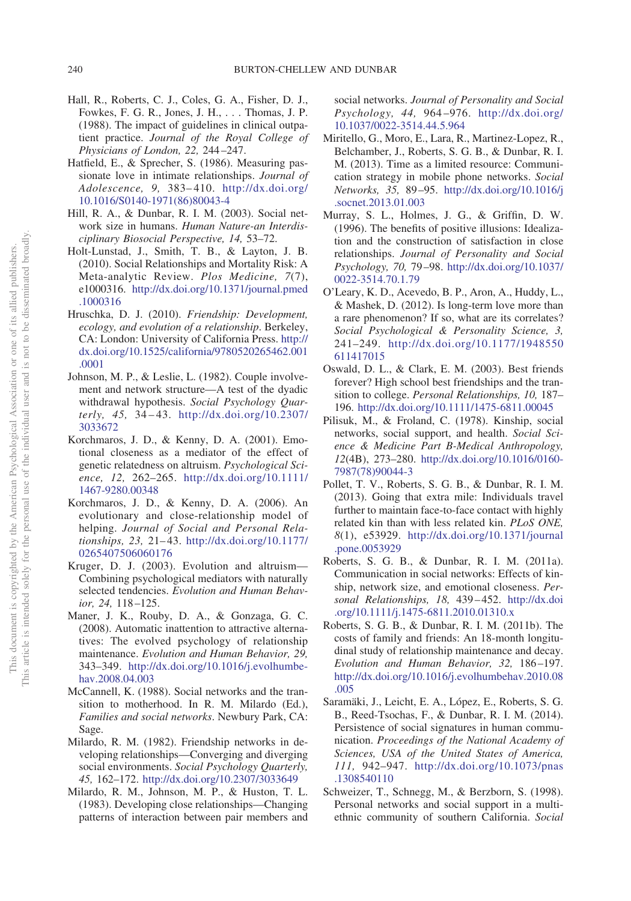- <span id="page-11-17"></span>Hall, R., Roberts, C. J., Coles, G. A., Fisher, D. J., Fowkes, F. G. R., Jones, J. H.,... Thomas, J. P. (1988). The impact of guidelines in clinical outpatient practice. *Journal of the Royal College of Physicians of London, 22,* 244 –247.
- <span id="page-11-18"></span>Hatfield, E., & Sprecher, S. (1986). Measuring passionate love in intimate relationships. *Journal of Adolescence, 9,* 383– 410. [http://dx.doi.org/](http://dx.doi.org/10.1016/S0140-1971%2886%2980043-4) [10.1016/S0140-1971\(86\)80043-4](http://dx.doi.org/10.1016/S0140-1971%2886%2980043-4)
- <span id="page-11-21"></span>Hill, R. A., & Dunbar, R. I. M. (2003). Social network size in humans. *Human Nature-an Interdisciplinary Biosocial Perspective, 14,* 53–72.
- <span id="page-11-2"></span>Holt-Lunstad, J., Smith, T. B., & Layton, J. B. (2010). Social Relationships and Mortality Risk: A Meta-analytic Review. *Plos Medicine, 7*(7), e1000316. [http://dx.doi.org/10.1371/journal.pmed](http://dx.doi.org/10.1371/journal.pmed.1000316) [.1000316](http://dx.doi.org/10.1371/journal.pmed.1000316)
- <span id="page-11-3"></span>Hruschka, D. J. (2010). *Friendship: Development, ecology, and evolution of a relationship*. Berkeley, CA: London: University of California Press. [http://](http://dx.doi.org/10.1525/california/9780520265462.001.0001) [dx.doi.org/10.1525/california/9780520265462.001](http://dx.doi.org/10.1525/california/9780520265462.001.0001) [.0001](http://dx.doi.org/10.1525/california/9780520265462.001.0001)
- <span id="page-11-14"></span>Johnson, M. P., & Leslie, L. (1982). Couple involvement and network structure—A test of the dyadic withdrawal hypothesis. *Social Psychology Quarterly, 45,* 34 – 43. [http://dx.doi.org/10.2307/](http://dx.doi.org/10.2307/3033672) [3033672](http://dx.doi.org/10.2307/3033672)
- <span id="page-11-4"></span>Korchmaros, J. D., & Kenny, D. A. (2001). Emotional closeness as a mediator of the effect of genetic relatedness on altruism. *Psychological Science, 12,* 262–265. [http://dx.doi.org/10.1111/](http://dx.doi.org/10.1111/1467-9280.00348) [1467-9280.00348](http://dx.doi.org/10.1111/1467-9280.00348)
- <span id="page-11-5"></span>Korchmaros, J. D., & Kenny, D. A. (2006). An evolutionary and close-relationship model of helping. *Journal of Social and Personal Relationships, 23,* 21– 43. [http://dx.doi.org/10.1177/](http://dx.doi.org/10.1177/0265407506060176) [0265407506060176](http://dx.doi.org/10.1177/0265407506060176)
- <span id="page-11-6"></span>Kruger, D. J. (2003). Evolution and altruism— Combining psychological mediators with naturally selected tendencies. *Evolution and Human Behavior, 24,* 118 –125.
- <span id="page-11-15"></span>Maner, J. K., Rouby, D. A., & Gonzaga, G. C. (2008). Automatic inattention to attractive alternatives: The evolved psychology of relationship maintenance. *Evolution and Human Behavior, 29,* 343–349. [http://dx.doi.org/10.1016/j.evolhumbe](http://dx.doi.org/10.1016/j.evolhumbehav.2008.04.003)[hav.2008.04.003](http://dx.doi.org/10.1016/j.evolhumbehav.2008.04.003)
- <span id="page-11-22"></span>McCannell, K. (1988). Social networks and the transition to motherhood. In R. M. Milardo (Ed.), *Families and social networks*. Newbury Park, CA: Sage.
- <span id="page-11-20"></span>Milardo, R. M. (1982). Friendship networks in developing relationships—Converging and diverging social environments. *Social Psychology Quarterly, 45,* 162–172. <http://dx.doi.org/10.2307/3033649>
- <span id="page-11-12"></span>Milardo, R. M., Johnson, M. P., & Huston, T. L. (1983). Developing close relationships—Changing patterns of interaction between pair members and

social networks. *Journal of Personality and Social Psychology, 44,* 964 –976. [http://dx.doi.org/](http://dx.doi.org/10.1037/0022-3514.44.5.964) [10.1037/0022-3514.44.5.964](http://dx.doi.org/10.1037/0022-3514.44.5.964)

- <span id="page-11-13"></span>Miritello, G., Moro, E., Lara, R., Martinez-Lopez, R., Belchamber, J., Roberts, S. G. B., & Dunbar, R. I. M. (2013). Time as a limited resource: Communication strategy in mobile phone networks. *Social Networks, 35,* 89 –95. [http://dx.doi.org/10.1016/j](http://dx.doi.org/10.1016/j.socnet.2013.01.003) [.socnet.2013.01.003](http://dx.doi.org/10.1016/j.socnet.2013.01.003)
- <span id="page-11-16"></span>Murray, S. L., Holmes, J. G., & Griffin, D. W. (1996). The benefits of positive illusions: Idealization and the construction of satisfaction in close relationships. *Journal of Personality and Social Psychology, 70,* 79 –98. [http://dx.doi.org/10.1037/](http://dx.doi.org/10.1037/0022-3514.70.1.79) [0022-3514.70.1.79](http://dx.doi.org/10.1037/0022-3514.70.1.79)
- <span id="page-11-19"></span>O'Leary, K. D., Acevedo, B. P., Aron, A., Huddy, L., & Mashek, D. (2012). Is long-term love more than a rare phenomenon? If so, what are its correlates? *Social Psychological & Personality Science, 3,* 241–249. [http://dx.doi.org/10.1177/1948550](http://dx.doi.org/10.1177/1948550611417015) [611417015](http://dx.doi.org/10.1177/1948550611417015)
- <span id="page-11-10"></span>Oswald, D. L., & Clark, E. M. (2003). Best friends forever? High school best friendships and the transition to college. *Personal Relationships, 10,* 187– 196. <http://dx.doi.org/10.1111/1475-6811.00045>
- <span id="page-11-0"></span>Pilisuk, M., & Froland, C. (1978). Kinship, social networks, social support, and health. *Social Science & Medicine Part B-Medical Anthropology, 12*(4B), 273–280. [http://dx.doi.org/10.1016/0160-](http://dx.doi.org/10.1016/0160-7987%2878%2990044-3) [7987\(78\)90044-3](http://dx.doi.org/10.1016/0160-7987%2878%2990044-3)
- <span id="page-11-7"></span>Pollet, T. V., Roberts, S. G. B., & Dunbar, R. I. M. (2013). Going that extra mile: Individuals travel further to maintain face-to-face contact with highly related kin than with less related kin. *PLoS ONE, 8*(1), e53929. [http://dx.doi.org/10.1371/journal](http://dx.doi.org/10.1371/journal.pone.0053929) [.pone.0053929](http://dx.doi.org/10.1371/journal.pone.0053929)
- <span id="page-11-8"></span>Roberts, S. G. B., & Dunbar, R. I. M. (2011a). Communication in social networks: Effects of kinship, network size, and emotional closeness. *Personal Relationships, 18,* 439 – 452. [http://dx.doi](http://dx.doi.org/10.1111/j.1475-6811.2010.01310.x) [.org/10.1111/j.1475-6811.2010.01310.x](http://dx.doi.org/10.1111/j.1475-6811.2010.01310.x)
- <span id="page-11-11"></span>Roberts, S. G. B., & Dunbar, R. I. M. (2011b). The costs of family and friends: An 18-month longitudinal study of relationship maintenance and decay. *Evolution and Human Behavior, 32,* 186 –197. [http://dx.doi.org/10.1016/j.evolhumbehav.2010.08](http://dx.doi.org/10.1016/j.evolhumbehav.2010.08.005) [.005](http://dx.doi.org/10.1016/j.evolhumbehav.2010.08.005)
- <span id="page-11-9"></span>Saramäki, J., Leicht, E. A., López, E., Roberts, S. G. B., Reed-Tsochas, F., & Dunbar, R. I. M. (2014). Persistence of social signatures in human communication. *Proceedings of the National Academy of Sciences, USA of the United States of America, 111,* 942–947. [http://dx.doi.org/10.1073/pnas](http://dx.doi.org/10.1073/pnas.1308540110) [.1308540110](http://dx.doi.org/10.1073/pnas.1308540110)
- <span id="page-11-1"></span>Schweizer, T., Schnegg, M., & Berzborn, S. (1998). Personal networks and social support in a multiethnic community of southern California. *Social*